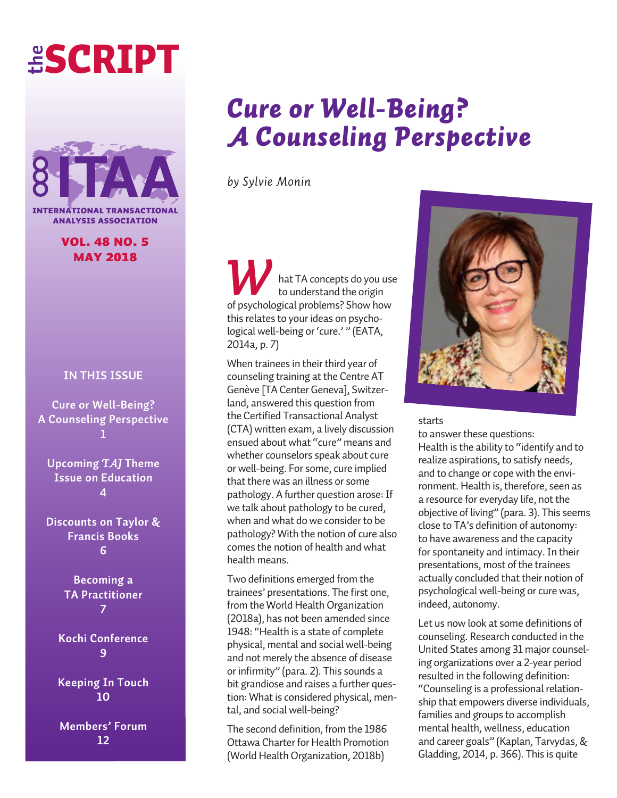# **the** SCRIPT



**FERNATIONAL TRANSACTION** analysis association

> vol. 48 no. 5 MAY 2018

#### **IN THIS ISSUE**

**Cure or Well-Being? A Counseling Perspective 1**

**Upcoming** *TAJ* **Theme Issue on Education 4**

**Discounts on Taylor & Francis Books 6**

> **Becoming a TA Practitioner 7**

**Kochi Conference 9**

**Keeping In Touch 10**

**Members' Forum 12**

# *Cure or Well-Being? A Counseling Perspective*

*by Sylvie Monin*

hat TA concepts do you use to understand the origin **WARK** hat TA concepts do you use<br>to understand the origin<br>of psychological problems? Show how this relates to your ideas on psychological well-being or 'cure.' " (EATA, 2014a, p. 7)

When trainees in their third year of counseling training at the Centre AT Genève [TA Center Geneva], Switzerland, answered this question from the Certified Transactional Analyst (CTA) written exam, a lively discussion ensued about what "cure" means and whether counselors speak about cure or well-being. For some, cure implied that there was an illness or some pathology. A further question arose: If we talk about pathology to be cured, when and what do we consider to be pathology? With the notion of cure also comes the notion of health and what health means.

Two definitions emerged from the trainees' presentations. The first one, from the World Health Organization (2018a), has not been amended since 1948: "Health is a state of complete physical, mental and social well-being and not merely the absence of disease or infirmity" (para. 2). This sounds a bit grandiose and raises a further question: What is considered physical, mental, and social well-being?

The second definition, from the 1986 Ottawa Charter for Health Promotion (World Health Organization, 2018b)



#### starts

to answer these questions: Health is the ability to "identify and to realize aspirations, to satisfy needs, and to change or cope with the environment. Health is, therefore, seen as a resource for everyday life, not the objective of living" (para. 3). This seems close to TA's definition of autonomy: to have awareness and the capacity for spontaneity and intimacy. In their presentations, most of the trainees actually concluded that their notion of psychological well-being or cure was, indeed, autonomy.

Let us now look at some definitions of counseling. Research conducted in the United States among 31 major counseling organizations over a 2-year period resulted in the following definition: "Counseling is a professional relationship that empowers diverse individuals, families and groups to accomplish mental health, wellness, education and career goals" (Kaplan, Tarvydas, & Gladding, 2014, p. 366). This is quite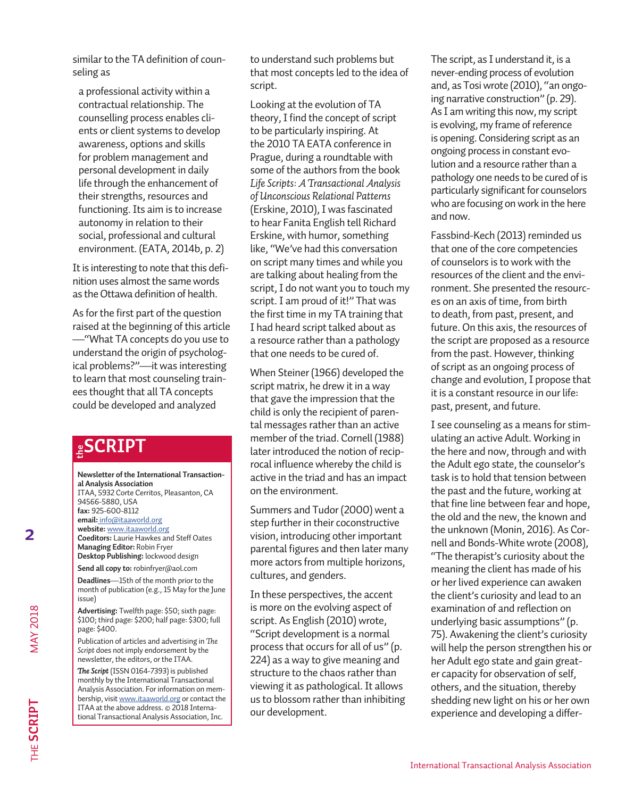similar to the TA definition of counseling as

a professional activity within a contractual relationship. The counselling process enables clients or client systems to develop awareness, options and skills for problem management and personal development in daily life through the enhancement of their strengths, resources and functioning. Its aim is to increase autonomy in relation to their social, professional and cultural environment. (EATA, 2014b, p. 2)

It is interesting to note that this definition uses almost the same words as the Ottawa definition of health.

As for the first part of the question raised at the beginning of this article —"What TA concepts do you use to understand the origin of psychological problems?"—it was interesting to learn that most counseling trainees thought that all TA concepts could be developed and analyzed

**Newsletter of the International Transactional Analysis Association** ITAA, 5932 Corte Cerritos, Pleasanton, CA 94566-5880, USA **fax:** 925-600-8112 **email:** [info@itaaworld.org](mailto:%20info%40itaaworld.org?subject=) **website:** [www.itaaworld.org](http://www.itaaworld.org) **Coeditors:** Laurie Hawkes and Steff Oates **Managing Editor:** Robin Fryer **Desktop Publishing:** lockwood design **Send all copy to:** robinfryer@aol.com **ESCRIPT**<br>
Newsletter of the International Transaction-<br>
analysis Association<br>
TFAA, 5932 Corte Cerritos, Pleasanton, CA<br>
94566-5880, USA<br>
fax: 925-600-8112<br>
email: info@itaaworld.org<br>
website: www.itaaworld.org<br>
website:

**Deadlines**—15th of the month prior to the month of publication (e.g., 15 May for the June issue)

**Advertising:** Twelfth page: \$50; sixth page: \$100; third page: \$200; half page: \$300; full page: \$400.

Publication of articles and advertising in *The Script* does not imply endorsement by the newsletter, the editors, or the ITAA.

*The Script* (ISSN 0164-7393) is published monthly by the International Transactional Analysis Association. For information on membership, visit [www.itaaworld.org](http://www.itaaworld.org) or contact the ITAA at the above address. © 2018 Interna-<br>tional Transactional Analysis Association, Inc.

to understand such problems but that most concepts led to the idea of script.

Looking at the evolution of TA theory, I find the concept of script to be particularly inspiring. At the 2010 TA EATA conference in Prague, during a roundtable with some of the authors from the book *Life Scripts: A Transactional Analysis of Unconscious Relational Patterns* (Erskine, 2010), I was fascinated to hear Fanita English tell Richard Erskine, with humor, something like, "We've had this conversation on script many times and while you are talking about healing from the script, I do not want you to touch my script. I am proud of it!" That was the first time in my TA training that I had heard script talked about as a resource rather than a pathology that one needs to be cured of.

When Steiner (1966) developed the script matrix, he drew it in a way that gave the impression that the child is only the recipient of parental messages rather than an active member of the triad. Cornell (1988) later introduced the notion of reciprocal influence whereby the child is active in the triad and has an impact on the environment.

Summers and Tudor (2000) went a step further in their coconstructive vision, introducing other important parental figures and then later many more actors from multiple horizons, cultures, and genders.

In these perspectives, the accent is more on the evolving aspect of script. As English (2010) wrote, "Script development is a normal process that occurs for all of us" (p. 224) as a way to give meaning and structure to the chaos rather than viewing it as pathological. It allows us to blossom rather than inhibiting our development.

The script, as I understand it, is a never-ending process of evolution and, as Tosi wrote (2010), "an ongoing narrative construction" (p. 29). As I am writing this now, my script is evolving, my frame of reference is opening. Considering script as an ongoing process in constant evolution and a resource rather than a pathology one needs to be cured of is particularly significant for counselors who are focusing on work in the here and now.

Fassbind-Kech (2013) reminded us that one of the core competencies of counselors is to work with the resources of the client and the environment. She presented the resources on an axis of time, from birth to death, from past, present, and future. On this axis, the resources of the script are proposed as a resource from the past. However, thinking of script as an ongoing process of change and evolution, I propose that it is a constant resource in our life: past, present, and future.

I see counseling as a means for stimulating an active Adult. Working in the here and now, through and with the Adult ego state, the counselor's task is to hold that tension between the past and the future, working at that fine line between fear and hope, the old and the new, the known and the unknown (Monin, 2016). As Cornell and Bonds-White wrote (2008), "The therapist's curiosity about the meaning the client has made of his or her lived experience can awaken the client's curiosity and lead to an examination of and reflection on underlying basic assumptions" (p. 75). Awakening the client's curiosity will help the person strengthen his or her Adult ego state and gain greater capacity for observation of self, others, and the situation, thereby shedding new light on his or her own experience and developing a differ-

**2**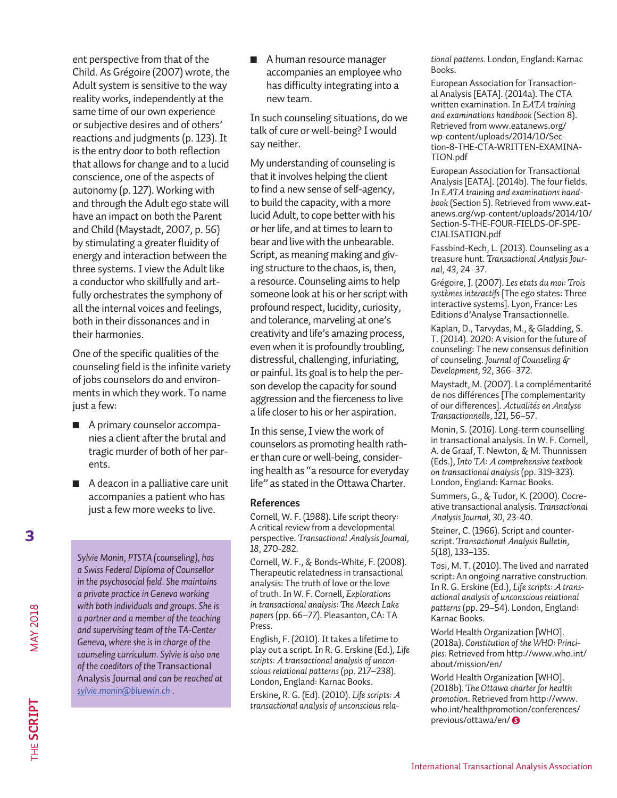ent perspective from that of the Child. As Grégoire (2007) wrote, the Adult system is sensitive to the way reality works, independently at the same time of our own experience or subjective desires and of others' reactions and judgments (p. 123). It is the entry door to both reflection that allows for change and to a lucid conscience, one of the aspects of autonomy (p. 127). Working with and through the Adult ego state will have an impact on both the Parent and Child (Maystadt, 2007, p. 56) by stimulating a greater fluidity of energy and interaction between the three systems. I view the Adult like a conductor who skillfully and artfully orchestrates the symphony of all the internal voices and feelings, both in their dissonances and in their harmonies.

One of the specific qualities of the counseling field is the infinite variety of jobs counselors do and environments in which they work. To name just a few:

- **A primary counselor accompa**nies a client after the brutal and tragic murder of both of her parents.
- $\blacksquare$  A deacon in a palliative care unit accompanies a patient who has just a few more weeks to live.

*Sylvie Monin, PTSTA (counseling), has a Swiss Federal Diploma of Counsellor in the psychosocial field. She maintains a private practice in Geneva working with both individuals and groups. She is a partner and a member of the teaching and supervising team of the TA-Center Geneva, where she is in charge of the counseling curriculum. Sylvie is also one of the coeditors of the* Transactional Analysis Journal *and can be reached at* 

*[sylvie.monin@bluewin.ch](mailto:sylvie.monin%40bluewin.ch?subject=) .* 

**3**

**MAY 2018** 

THE **SCRIPT** MAY 2018 THE SCRIPT  $\blacksquare$  A human resource manager accompanies an employee who has difficulty integrating into a new team.

In such counseling situations, do we talk of cure or well-being? I would say neither.

My understanding of counseling is that it involves helping the client to find a new sense of self-agency, to build the capacity, with a more lucid Adult, to cope better with his or her life, and at times to learn to bear and live with the unbearable. Script, as meaning making and giving structure to the chaos, is, then, a resource. Counseling aims to help someone look at his or her script with profound respect, lucidity, curiosity, and tolerance, marveling at one's creativity and life's amazing process, even when it is profoundly troubling, distressful, challenging, infuriating, or painful. Its goal is to help the person develop the capacity for sound aggression and the fierceness to live a life closer to his or her aspiration.

In this sense, I view the work of counselors as promoting health rather than cure or well-being, considering health as "a resource for everyday life" as stated in the Ottawa Charter.

#### **References**

Cornell, W. F. (1988). Life script theory: A critical review from a developmental perspective. *Transactional Analysis Journal, 18*, 270-282.

Cornell, W. F., & Bonds-White, F. (2008). Therapeutic relatedness in transactional analysis: The truth of love or the love of truth. In W. F. Cornell, *Explorations in transactional analysis: The Meech Lake papers* (pp. 66–77). Pleasanton, CA: TA Press.

English, F. (2010). It takes a lifetime to play out a script. In R. G. Erskine (Ed.), *Life scripts: A transactional analysis of unconscious relational patterns* (pp. 217–238). London, England: Karnac Books.

Erskine, R. G. (Ed). (2010). *Life scripts: A transactional analysis of unconscious rela-* *tional patterns.* London, England: Karnac Books.

European Association for Transactional Analysis [EATA]. (2014a). The CTA written examination. In *EATA training and examinations handbook* (Section 8). Retrieved from www.eatanews.org/ wp-content/uploads/2014/10/Section-8-THE-CTA-WRITTEN-EXAMINA-TION.pdf

European Association for Transactional Analysis [EATA]. (2014b). The four fields. In *EATA training and examinations handbook* (Section 5). Retrieved from www.eatanews.org/wp-content/uploads/2014/10/ Section-5-THE-FOUR-FIELDS-OF-SPE-CIALISATION.pdf

Fassbind-Kech, L. (2013). Counseling as a treasure hunt. *Transactional Analysis Journal, 43*, 24–37.

Grégoire, J. (2007). *Les etats du moi: Trois systèmes interactifs* [The ego states: Three interactive systems]. Lyon, France: Les Editions d'Analyse Transactionnelle.

Kaplan, D., Tarvydas, M., & Gladding, S. T. (2014). 2020: A vision for the future of counseling: The new consensus definition of counseling. *Journal of Counseling & Development, 92*, 366–372.

Maystadt, M. (2007). La complémentarité de nos différences [The complementarity of our differences]. *Actualités en Analyse Transactionnelle, 121*, 56–57.

Monin, S. (2016). Long-term counselling in transactional analysis. In W. F. Cornell, A. de Graaf, T. Newton, & M. Thunnissen (Eds.), *Into TA: A comprehensive textbook on transactional analysis* (pp. 319-323). London, England: Karnac Books.

Summers, G., & Tudor, K. (2000). Cocreative transactional analysis. *Transactional Analysis Journal, 30*, 23-40.

Steiner, C. (1966). Script and counterscript. *Transactional Analysis Bulletin, 5*(18), 133–135.

Tosi, M. T. (2010). The lived and narrated script: An ongoing narrative construction. In R. G. Erskine (Ed.), *Life scripts: A transactional analysis of unconscious relational patterns* (pp. 29–54). London, England: Karnac Books.

World Health Organization [WHO]. (2018a). *Constitution of the WHO: Principles.* Retrieved from http://www.who.int/ about/mission/en/

World Health Organization [WHO]. (2018b). *The Ottawa charter for health promotion*. Retrieved from http://www. who.int/healthpromotion/conferences/ previous/ottawa/en/ *S*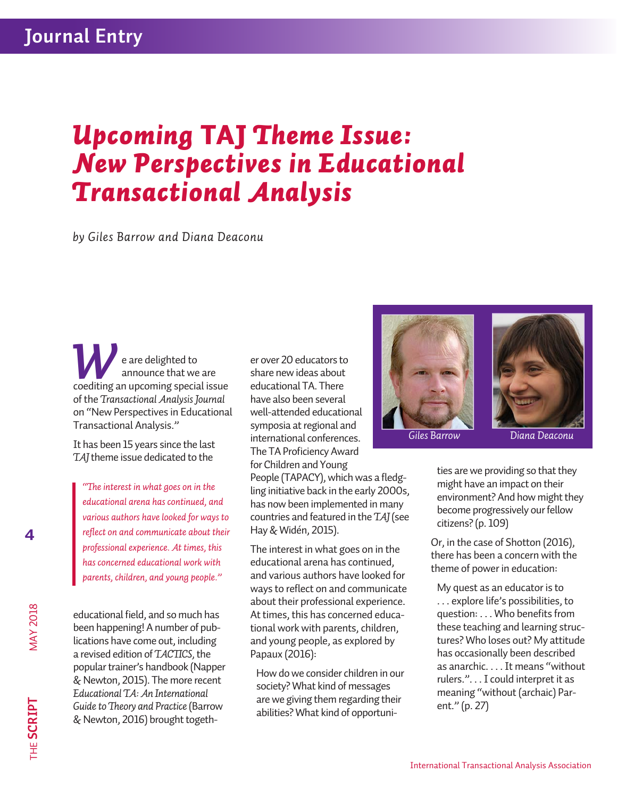# *Upcoming* TAJ *Theme Issue: New Perspectives in Educational Transactional Analysis*

*by Giles Barrow and Diana Deaconu*

e are delighted to announce that we are e are delighted to<br>
announce that we are<br>
coediting an upcoming special issue of the *Transactional Analysis Journal*  on "New Perspectives in Educational Transactional Analysis."

It has been 15 years since the last *TAJ* theme issue dedicated to the

*"The interest in what goes on in the educational arena has continued, and various authors have looked for ways to reflect on and communicate about their professional experience. At times, this has concerned educational work with parents, children, and young people."*

educational field, and so much has been happening! A number of publications have come out, including a revised edition of *TACTICS,* the popular trainer's handbook (Napper & Newton, 2015). The more recent *Educational TA: An International Guide to Theory and Practice* (Barrow & Newton, 2016) brought togeth-

er over 20 educators to share new ideas about educational TA. There have also been several well-attended educational symposia at regional and international conferences. The TA Proficiency Award for Children and Young

People (TAPACY), which was a fledgling initiative back in the early 2000s, has now been implemented in many countries and featured in the *TAJ* (see Hay & Widén, 2015).

The interest in what goes on in the educational arena has continued, and various authors have looked for ways to reflect on and communicate about their professional experience. At times, this has concerned educational work with parents, children, and young people, as explored by Papaux (2016):

How do we consider children in our society? What kind of messages are we giving them regarding their abilities? What kind of opportuni-



*Giles Barrow Diana Deaconu*

ties are we providing so that they might have an impact on their environment? And how might they become progressively our fellow citizens? (p. 109)

Or, in the case of Shotton (2016), there has been a concern with the theme of power in education:

My quest as an educator is to . . . explore life's possibilities, to question: . . . Who benefits from these teaching and learning structures? Who loses out? My attitude has occasionally been described as anarchic. . . . It means "without rulers.". . . I could interpret it as meaning "without (archaic) Parent." (p. 27)

**4**

THE **SCRIPT** MAY 2018

THE SCRIPT

**MAY 2018**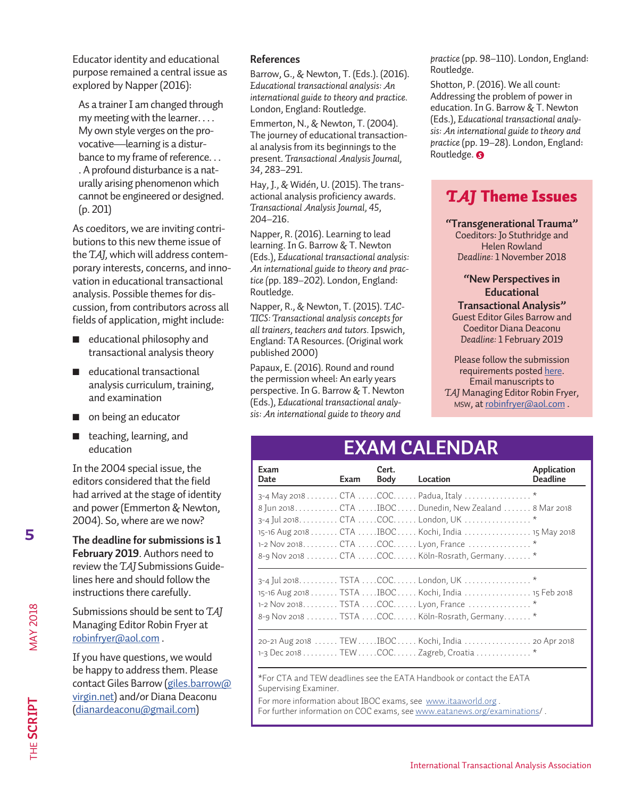Educator identity and educational purpose remained a central issue as explored by Napper (2016):

As a trainer I am changed through my meeting with the learner. . . . My own style verges on the provocative—learning is a disturbance to my frame of reference. . . . A profound disturbance is a naturally arising phenomenon which cannot be engineered or designed. (p. 201)

As coeditors, we are inviting contributions to this new theme issue of the *TAJ,* which will address contemporary interests, concerns, and innovation in educational transactional analysis. Possible themes for discussion, from contributors across all fields of application, might include:

- $\blacksquare$  educational philosophy and transactional analysis theory
- $\blacksquare$  educational transactional analysis curriculum, training, and examination
- n on being an educator
- $\blacksquare$  teaching, learning, and education

In the 2004 special issue, the editors considered that the field had arrived at the stage of identity and power (Emmerton & Newton, 2004). So, where are we now?

**The deadline for submissions is 1 February 2019**. Authors need to review the *TAJ* Submissions Guidelines [here](http://itaaworld.org/sites/default/files/itaa-pdfs/taj-guidelines/ITAA%20TAJ%20Submission%20Guidelines%20v.14.11.pdf) and should follow the instructions there carefully.

Submissions should be sent to *TAJ* Managing Editor Robin Fryer at [robinfryer@aol.com](mailto:robinfryer%40aol.com?subject=) .

If you have questions, we would be happy to address them. Please contact Giles Barrow [\(giles.barrow@](mailto:giles.barrow%40virgin.net?subject=) [virgin.net\)](mailto:giles.barrow%40virgin.net?subject=) and/or Diana Deaconu [\(dianardeaconu@gmail.com](mailto:dianardeaconu%40gmail.com?subject=))

#### **References**

Barrow, G., & Newton, T. (Eds.). (2016). *Educational transactional analysis: An international guide to theory and practice.* London, England: Routledge.

Emmerton, N., & Newton, T. (2004). The journey of educational transactional analysis from its beginnings to the present. *Transactional Analysis Journal, 34*, 283–291.

Hay, J., & Widén, U. (2015). The transactional analysis proficiency awards. *Transactional Analysis Journal, 45*, 204–216.

Napper, R. (2016). Learning to lead learning. In G. Barrow & T. Newton (Eds.), *Educational transactional analysis: An international guide to theory and practice (*pp. 189–202). London, England: Routledge.

Napper, R., & Newton, T. (2015). *TAC-TICS: Transactional analysis concepts for all trainers, teachers and tutors.* Ipswich, England: TA Resources. (Original work published 2000)

Papaux, E. (2016). Round and round the permission wheel: An early years perspective. In G. Barrow & T. Newton (Eds.), *Educational transactional analysis: An international guide to theory and* 

*practice* (pp. 98–110). London, England: Routledge.

Shotton, P. (2016). We all count: Addressing the problem of power in education. In G. Barrow & T. Newton (Eds.), *Educational transactional analysis: An international guide to theory and practice* (pp. 19–28). London, England: Routledge. *S*

## *TAJ* Theme Issues

#### **"Transgenerational Trauma"**

Coeditors: Jo Stuthridge and Helen Rowland *Deadline:* 1 November 2018

**"New Perspectives in Educational Transactional Analysis"**

Guest Editor Giles Barrow and Coeditor Diana Deaconu *Deadline:* 1 February 2019

Please follow the submission requirements posted [here.](https://www.itaaworld.org/sites/default/files/itaa-pdfs/taj-guidelines/ITAA%20TAJ%20Submission%20Guidelines%20v.14.11.pdf) Email manuscripts to *TAJ* Managing Editor Robin Fryer, msw, at [robinfryer@aol.com](mailto:robinfryer%40aol.com?subject=) .

## **EXAM CALENDAR**

| Exam<br>Date | Exam | Cert.<br>Body | Location                                                                                                                                                                              | Application<br><b>Deadline</b> |
|--------------|------|---------------|---------------------------------------------------------------------------------------------------------------------------------------------------------------------------------------|--------------------------------|
|              |      |               | $3-4$ May 2018 CTA COC. Padua, Italy *<br>8 Jun 2018CTA IBOCDunedin, New Zealand  8 Mar 2018<br>3-4 Jul 2018. CTA COC. London, UK *<br>8-9 Nov 2018  CTA  COC Köln-Rosrath, Germany * |                                |
|              |      |               | 3-4 Jul 2018. TSTA COC. London, UK *<br>15-16 Aug 2018 TSTA IBOC Kochi, India 15 Feb 2018<br>1-2 Nov 2018. TSTA COC. Lyon, France *<br>8-9 Nov 2018  TSTA COC Köln-Rosrath, Germany * |                                |
|              |      |               | 20-21 Aug 2018  TEW IBOC  Kochi, India  20 Apr 2018<br>1-3 Dec 2018  TEWCOC Zagreb, Croatia *                                                                                         |                                |

\*For CTA and TEW deadlines see the EATA Handbook or contact the EATA Supervising Examiner.

For more information about IBOC exams, see [www.itaaworld.org](http://www.itaaworld.org). For further information on COC exams, see [www.eatanews.org/examinations](http://www.eatanews.org/examinations/)/.

**MAY 2018**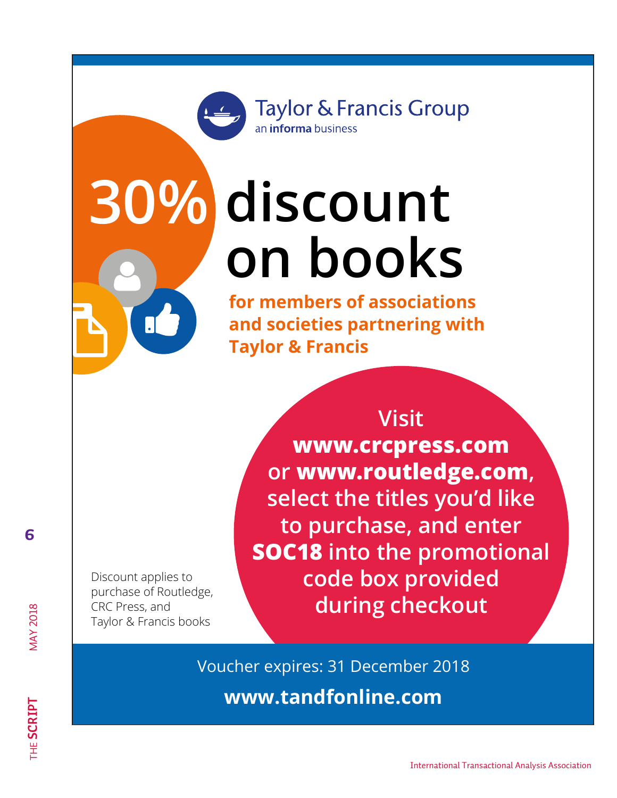

**Taylor & Francis Group** an **informa** business

# **30% discount on books**

**for members of associations and societies partnering with Taylor & Francis**

Discount applies to purchase of Routledge, CRC Press, and Taylor & Francis books

**www.crcpress.com or www.routledge.com, select the titles you'd like to purchase, and enter SOC18 into the promotional code box provided during checkout**

**Visit** 

Voucher expires: 31 December 2018 **www.tandfonline.com**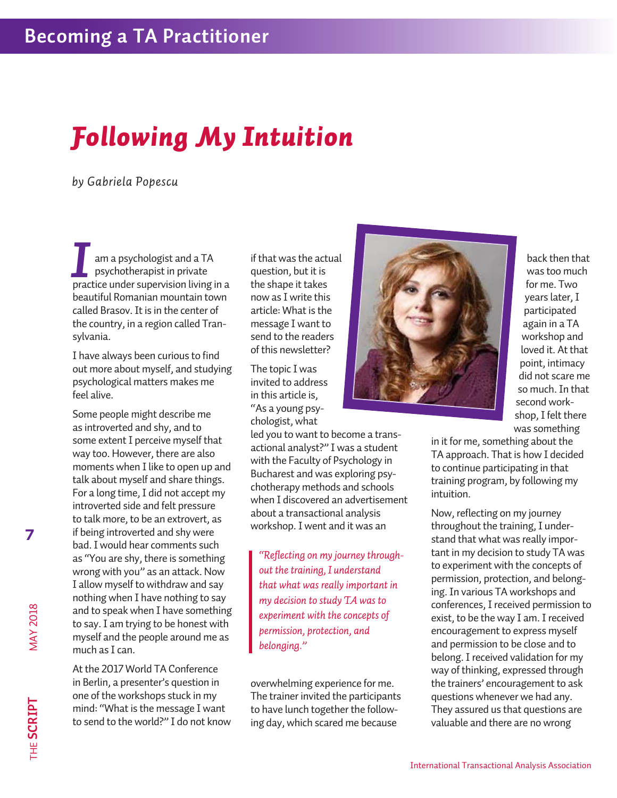# *Following My Intuition*

*by Gabriela Popescu*

am a psychologist and a TA psychotherapist in private am a psychologist and a TA<br>psychotherapist in private<br>practice under supervision living in a beautiful Romanian mountain town called Brasov. It is in the center of the country, in a region called Transylvania.

I have always been curious to find out more about myself, and studying psychological matters makes me feel alive.

Some people might describe me as introverted and shy, and to some extent I perceive myself that way too. However, there are also moments when I like to open up and talk about myself and share things. For a long time, I did not accept my introverted side and felt pressure to talk more, to be an extrovert, as if being introverted and shy were bad. I would hear comments such as "You are shy, there is something wrong with you" as an attack. Now I allow myself to withdraw and say nothing when I have nothing to say and to speak when I have something to say. I am trying to be honest with myself and the people around me as much as I can.

At the 2017 World TA Conference in Berlin, a presenter's question in one of the workshops stuck in my mind: "What is the message I want to send to the world?" I do not know if that was the actual question, but it is the shape it takes now as I write this article: What is the message I want to send to the readers of this newsletter?

The topic I was invited to address in this article is, "As a young psychologist, what

led you to want to become a transactional analyst?" I was a student with the Faculty of Psychology in Bucharest and was exploring psychotherapy methods and schools when I discovered an advertisement about a transactional analysis workshop. I went and it was an

*"Reflecting on my journey throughout the training, I understand that what was really important in my decision to study TA was to experiment with the concepts of permission, protection, and belonging."*

overwhelming experience for me. The trainer invited the participants to have lunch together the following day, which scared me because



back then that was too much for me. Two years later, I participated again in a TA workshop and loved it. At that point, intimacy did not scare me so much. In that second workshop, I felt there was something

in it for me, something about the TA approach. That is how I decided to continue participating in that training program, by following my intuition.

Now, reflecting on my journey throughout the training, I understand that what was really important in my decision to study TA was to experiment with the concepts of permission, protection, and belonging. In various TA workshops and conferences, I received permission to exist, to be the way I am. I received encouragement to express myself and permission to be close and to belong. I received validation for my way of thinking, expressed through the trainers' encouragement to ask questions whenever we had any. They assured us that questions are valuable and there are no wrong

**MAY 2018**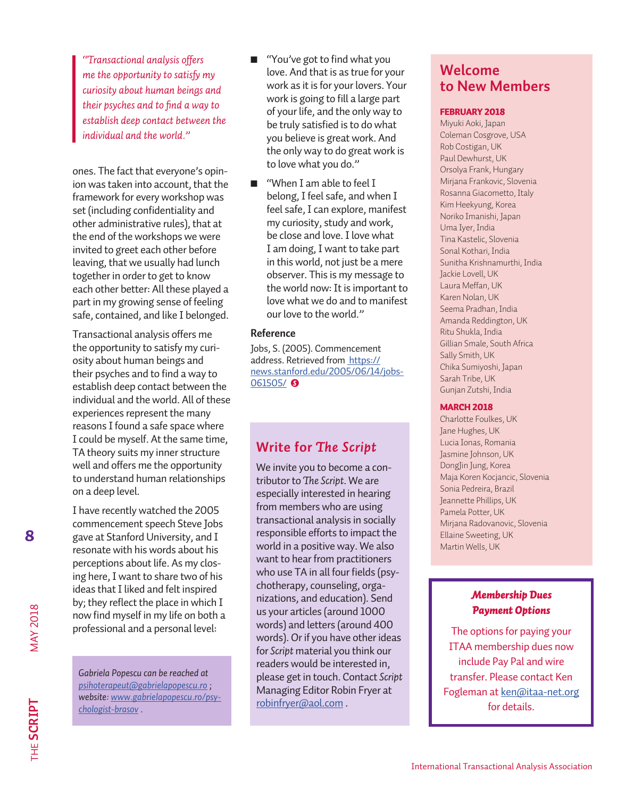*"Transactional analysis offers me the opportunity to satisfy my curiosity about human beings and their psyches and to find a way to establish deep contact between the individual and the world."*

ones. The fact that everyone's opinion was taken into account, that the framework for every workshop was set (including confidentiality and other administrative rules), that at the end of the workshops we were invited to greet each other before leaving, that we usually had lunch together in order to get to know each other better: All these played a part in my growing sense of feeling safe, contained, and like I belonged.

Transactional analysis offers me the opportunity to satisfy my curiosity about human beings and their psyches and to find a way to establish deep contact between the individual and the world. All of these experiences represent the many reasons I found a safe space where I could be myself. At the same time, TA theory suits my inner structure well and offers me the opportunity to understand human relationships on a deep level.

I have recently watched the 2005 commencement speech Steve Jobs gave at Stanford University, and I resonate with his words about his perceptions about life. As my closing here, I want to share two of his ideas that I liked and felt inspired by; they reflect the place in which I now find myself in my life on both a professional and a personal level:

*Gabriela Popescu can be reached at [psihoterapeut@gabrielapopescu.ro](mailto:psihoterapeut%40gabrielapopescu.ro?subject=) ; website: [www.gabrielapopescu.ro/psy](http://www.gabrielapopescu.ro/psychologist-brasov)[chologist-brasov](http://www.gabrielapopescu.ro/psychologist-brasov) .*

- "You've got to find what you love. And that is as true for your work as it is for your lovers. Your work is going to fill a large part of your life, and the only way to be truly satisfied is to do what you believe is great work. And the only way to do great work is to love what you do."
- $\blacksquare$  "When I am able to feel I belong, I feel safe, and when I feel safe, I can explore, manifest my curiosity, study and work, be close and love. I love what I am doing, I want to take part in this world, not just be a mere observer. This is my message to the world now: It is important to love what we do and to manifest our love to the world."

#### **Reference**

Jobs, S. (2005). Commencement address. Retrieved from https:// news.stanford.edu/2005/06/14/jobs-061505/ *S*

## **Write for** *The Script*

We invite you to become a contributor to *The Script*. We are especially interested in hearing from members who are using transactional analysis in socially responsible efforts to impact the world in a positive way. We also want to hear from practitioners who use TA in all four fields (psychotherapy, counseling, organizations, and education). Send us your articles (around 1000 words) and letters (around 400 words). Or if you have other ideas for *Script* material you think our readers would be interested in, please get in touch. Contact *Script* Managing Editor Robin Fryer at [robinfryer@aol.com](mailto:robinfryer%40aol.com?subject=) .

## **Welcome to New Members**

#### FEBRUARY 2018

Miyuki Aoki, Japan Coleman Cosgrove, USA Rob Costigan, UK Paul Dewhurst, UK Orsolya Frank, Hungary Mirjana Frankovic, Slovenia Rosanna Giacometto, Italy Kim Heekyung, Korea Noriko Imanishi, Japan Uma Iyer, India Tina Kastelic, Slovenia Sonal Kothari, India Sunitha Krishnamurthi, India Jackie Lovell, UK Laura Meffan, UK Karen Nolan, UK Seema Pradhan, India Amanda Reddington, UK Ritu Shukla, India Gillian Smale, South Africa Sally Smith, UK Chika Sumiyoshi, Japan Sarah Tribe, UK Gunjan Zutshi, India

#### **MARCH 2018**

Charlotte Foulkes, UK Jane Hughes, UK Lucia Ionas, Romania Jasmine Johnson, UK DongJin Jung, Korea Maja Koren Kocjancic, Slovenia Sonia Pedreira, Brazil Jeannette Phillips, UK Pamela Potter, UK Mirjana Radovanovic, Slovenia Ellaine Sweeting, UK Martin Wells, UK

#### *Membership Dues Payment Options*

The options for paying your ITAA membership dues now include Pay Pal and wire transfer. Please contact Ken Fogleman at [ken@itaa-net.org](mailto:ken%40itaa-net.org?subject=) for details.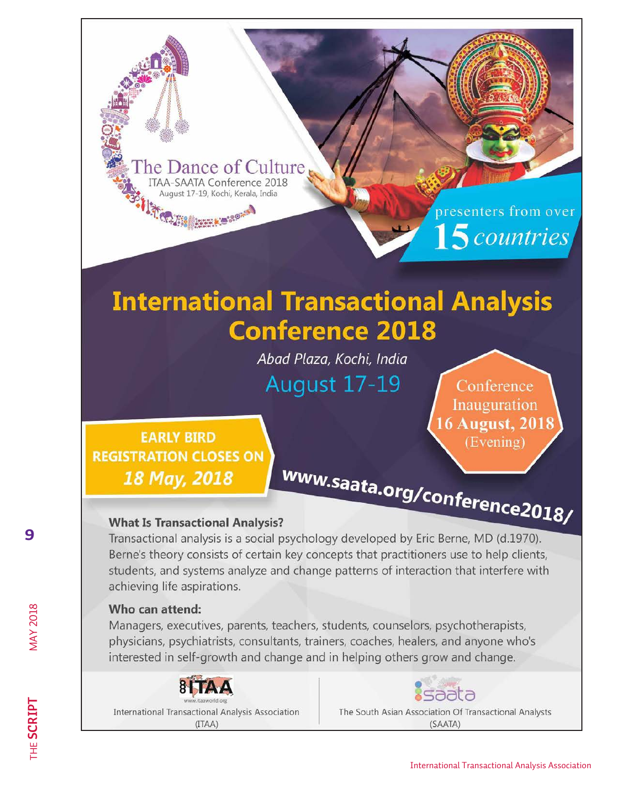

## **International Transactional Analysis Conference 2018**

Abad Plaza, Kochi, India August 17-19

Conference Inauguration **16 August, 2018** (Evening)

**EARLY BIRD REGISTRATION CLOSES ON** 18 May, 2018

www.saata.org/conference2018/

## **What Is Transactional Analysis?**

Transactional analysis is a social psychology developed by Eric Berne, MD (d.1970). Berne's theory consists of certain key concepts that practitioners use to help clients, students, and systems analyze and change patterns of interaction that interfere with achieving life aspirations.

## Who can attend:

Managers, executives, parents, teachers, students, counselors, psychotherapists, physicians, psychiatrists, consultants, trainers, coaches, healers, and anyone who's interested in self-growth and change and in helping others grow and change.





**MAY 2018** 

**9**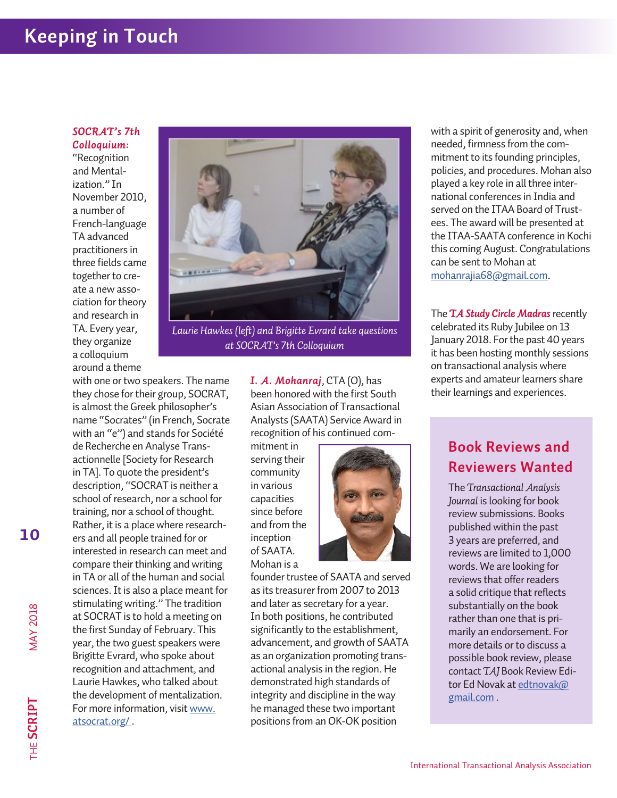## **Keeping in Touch**

#### *SOCRAT's 7th Colloquium:*

"Recognition and Mentalization." In November 2010, a number of French-language TA advanced practitioners in three fields came together to create a new association for theory and research in TA. Every year, they organize a colloquium around a theme



*Laurie Hawkes (left) and Brigitte Evrard take questions at SOCRAT's 7th Colloquium*

with one or two speakers. The name they chose for their group, SOCRAT, is almost the Greek philosopher's name "Socrates" (in French, Socrate with an "e") and stands for Société de Recherche en Analyse Transactionnelle [Society for Research in TA]. To quote the president's description, "SOCRAT is neither a school of research, nor a school for training, nor a school of thought. Rather, it is a place where researchers and all people trained for or interested in research can meet and compare their thinking and writing in TA or all of the human and social sciences. It is also a place meant for stimulating writing." The tradition at SOCRAT is to hold a meeting on the first Sunday of February. This year, the two guest speakers were Brigitte Evrard, who spoke about recognition and attachment, and Laurie Hawkes, who talked about the development of mentalization. For more information, visit [www.](http://www.atsocrat.org/ ) [atsocrat.org/ .](http://www.atsocrat.org/ )

*I. A. Mohanraj*, CTA (O), has been honored with the first South Asian Association of Transactional Analysts (SAATA) Service Award in recognition of his continued com-

mitment in serving their community in various capacities since before and from the inception of SAATA. Mohan is a



founder trustee of SAATA and served as its treasurer from 2007 to 2013 and later as secretary for a year. In both positions, he contributed significantly to the establishment, advancement, and growth of SAATA as an organization promoting transactional analysis in the region. He demonstrated high standards of integrity and discipline in the way he managed these two important positions from an OK-OK position

with a spirit of generosity and, when needed, firmness from the commitment to its founding principles, policies, and procedures. Mohan also played a key role in all three international conferences in India and served on the ITAA Board of Trustees. The award will be presented at the ITAA-SAATA conference in Kochi this coming August. Congratulations can be sent to Mohan at [mohanrajia68@gmail.com](mailto:mohanrajia68%40gmail.com?subject=).

The *TA Study Circle Madras* recently celebrated its Ruby Jubilee on 13 January 2018. For the past 40 years it has been hosting monthly sessions on transactional analysis where experts and amateur learners share their learnings and experiences.

## **Book Reviews and Reviewers Wanted**

The *Transactional Analysis Journal* is looking for book review submissions. Books published within the past 3 years are preferred, and reviews are limited to 1,000 words. We are looking for reviews that offer readers a solid critique that reflects substantially on the book rather than one that is primarily an endorsement. For more details or to discuss a possible book review, please contact *TAJ* Book Review Editor Ed Novak at [edtnovak@](mailto:edtnovak%40gmail.com?subject=) [gmail.com](mailto:edtnovak%40gmail.com?subject=) .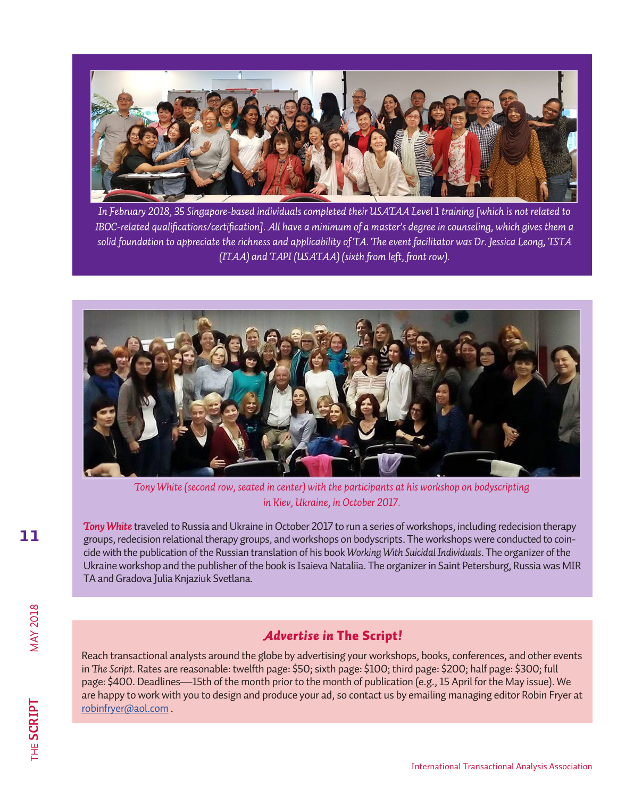

*In February 2018, 35 Singapore-based individuals completed their USATAA Level 1 training [which is not related to IBOC-related qualifications/certification]. All have a minimum of a master's degree in counseling, which gives them a solid foundation to appreciate the richness and applicability of TA. The event facilitator was Dr. Jessica Leong, TSTA (ITAA) and TAPI (USATAA) (sixth from left, front row).*



*Tony White (second row, seated in center) with the participants at his workshop on bodyscripting in Kiev, Ukraine, in October 2017.*

*Tony White* traveled to Russia and Ukraine in October 2017 to run a series of workshops, including redecision therapy groups, redecision relational therapy groups, and workshops on bodyscripts. The workshops were conducted to coincide with the publication of the Russian translation of his book *Working With Suicidal Individuals*. The organizer of the Ukraine workshop and the publisher of the book is Isaieva Nataliia. The organizer in Saint Petersburg, Russia was MIR TA and Gradova Julia Knjaziuk Svetlana.

## *Advertise in* The Script*!*

Reach transactional analysts around the globe by advertising your workshops, books, conferences, and other events in *The Script*. Rates are reasonable: twelfth page: \$50; sixth page: \$100; third page: \$200; half page: \$300; full page: \$400. Deadlines—15th of the month prior to the month of publication (e.g., 15 April for the May issue). We are happy to work with you to design and produce your ad, so contact us by emailing managing editor Robin Fryer at [robinfryer@aol.com](mailto:robinfryer%40aol.com?subject=) .